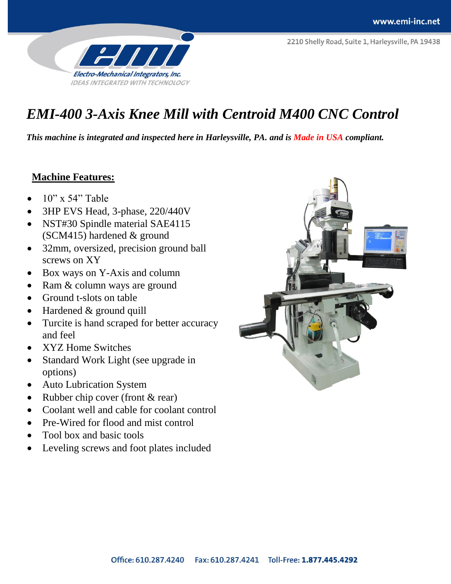

# *EMI-400 3-Axis Knee Mill with Centroid M400 CNC Control*

*This machine is integrated and inspected here in Harleysville, PA. and is Made in USA compliant.*

### **Machine Features:**

- 10" x 54" Table
- 3HP EVS Head, 3-phase, 220/440V
- NST#30 Spindle material SAE4115 (SCM415) hardened & ground
- 32mm, oversized, precision ground ball screws on XY
- Box ways on Y-Axis and column
- Ram & column ways are ground
- Ground t-slots on table
- Hardened & ground quill
- Turcite is hand scraped for better accuracy and feel
- XYZ Home Switches
- Standard Work Light (see upgrade in options)
- Auto Lubrication System
- Rubber chip cover (front & rear)
- Coolant well and cable for coolant control
- Pre-Wired for flood and mist control
- Tool box and basic tools
- Leveling screws and foot plates included

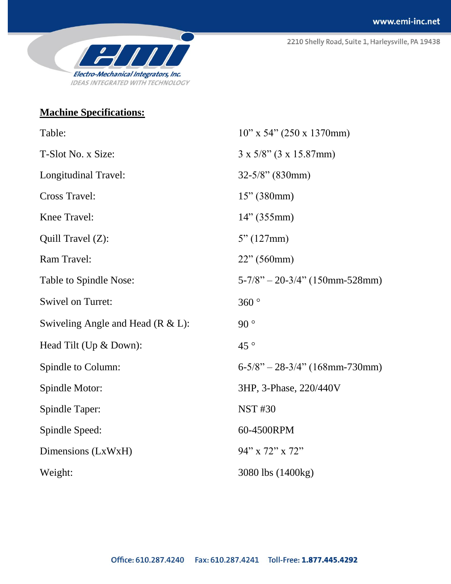2210 Shelly Road, Suite 1, Harleysville, PA 19438



## **Machine Specifications:**

| Table:                              | $10"$ x 54" (250 x 1370mm)        |
|-------------------------------------|-----------------------------------|
| T-Slot No. x Size:                  | $3 \times 5/8$ " (3 x 15.87mm)    |
| Longitudinal Travel:                | $32 - 5/8$ " (830mm)              |
| <b>Cross Travel:</b>                | 15" (380mm)                       |
| Knee Travel:                        | 14" (355mm)                       |
| Quill Travel (Z):                   | 5" (127mm)                        |
| Ram Travel:                         | 22" (560mm)                       |
| Table to Spindle Nose:              | $5-7/8$ " - 20-3/4" (150mm-528mm) |
| <b>Swivel on Turret:</b>            | 360°                              |
| Swiveling Angle and Head $(R &L)$ : | 90°                               |
| Head Tilt (Up & Down):              | $45^{\circ}$                      |
| Spindle to Column:                  | $6-5/8$ " - 28-3/4" (168mm-730mm) |
| Spindle Motor:                      | 3HP, 3-Phase, 220/440V            |
| Spindle Taper:                      | <b>NST #30</b>                    |
| Spindle Speed:                      | 60-4500RPM                        |
| Dimensions (LxWxH)                  | 94" x 72" x 72"                   |
| Weight:                             | 3080 lbs (1400kg)                 |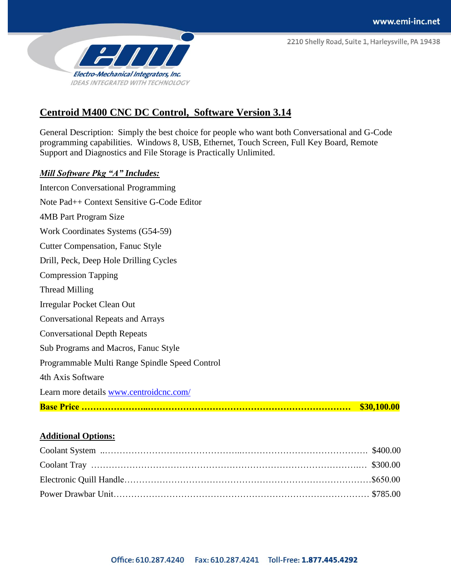2210 Shelly Road, Suite 1, Harleysville, PA 19438



## **Centroid M400 CNC DC Control, Software Version 3.14**

General Description: Simply the best choice for people who want both Conversational and G-Code programming capabilities. Windows 8, USB, Ethernet, Touch Screen, Full Key Board, Remote Support and Diagnostics and File Storage is Practically Unlimited.

#### *Mill Software Pkg "A" Includes:*

|                                                        | \$30,100.00 |
|--------------------------------------------------------|-------------|
| Learn more details www.centroidcnc.com/                |             |
| 4th Axis Software                                      |             |
| Programmable Multi Range Spindle Speed Control         |             |
| Sub Programs and Macros, Fanuc Style                   |             |
| <b>Conversational Depth Repeats</b>                    |             |
| <b>Conversational Repeats and Arrays</b>               |             |
| Irregular Pocket Clean Out                             |             |
| Thread Milling                                         |             |
| <b>Compression Tapping</b>                             |             |
| Drill, Peck, Deep Hole Drilling Cycles                 |             |
| <b>Cutter Compensation, Fanuc Style</b>                |             |
| Work Coordinates Systems (G54-59)                      |             |
| 4MB Part Program Size                                  |             |
| Note Pad <sup>++</sup> Context Sensitive G-Code Editor |             |
| <b>Intercon Conversational Programming</b>             |             |

#### **Additional Options:**